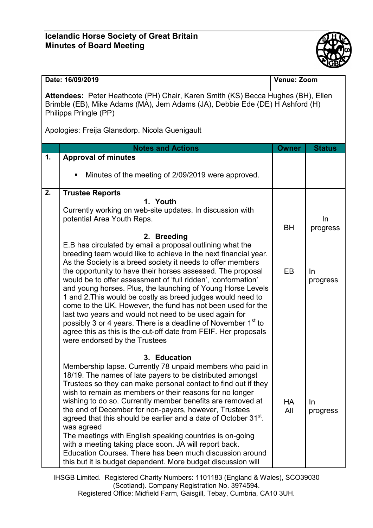## **Icelandic Horse Society of Great Britain Minutes of Board Meeting**



| Date: 16/09/2019                                                                                                                                                                          |                                                                                                                                                                                                                                                                                                                                                                                                                                                                                                                                                                      | Venue: Zoom      |                   |  |  |
|-------------------------------------------------------------------------------------------------------------------------------------------------------------------------------------------|----------------------------------------------------------------------------------------------------------------------------------------------------------------------------------------------------------------------------------------------------------------------------------------------------------------------------------------------------------------------------------------------------------------------------------------------------------------------------------------------------------------------------------------------------------------------|------------------|-------------------|--|--|
| Attendees: Peter Heathcote (PH) Chair, Karen Smith (KS) Becca Hughes (BH), Ellen<br>Brimble (EB), Mike Adams (MA), Jem Adams (JA), Debbie Ede (DE) H Ashford (H)<br>Philippa Pringle (PP) |                                                                                                                                                                                                                                                                                                                                                                                                                                                                                                                                                                      |                  |                   |  |  |
| Apologies: Freija Glansdorp. Nicola Guenigault                                                                                                                                            |                                                                                                                                                                                                                                                                                                                                                                                                                                                                                                                                                                      |                  |                   |  |  |
|                                                                                                                                                                                           | <b>Notes and Actions</b>                                                                                                                                                                                                                                                                                                                                                                                                                                                                                                                                             | <b>Owner</b>     | <b>Status</b>     |  |  |
| 1.                                                                                                                                                                                        | <b>Approval of minutes</b>                                                                                                                                                                                                                                                                                                                                                                                                                                                                                                                                           |                  |                   |  |  |
|                                                                                                                                                                                           | Minutes of the meeting of 2/09/2019 were approved.<br>п                                                                                                                                                                                                                                                                                                                                                                                                                                                                                                              |                  |                   |  |  |
| 2.                                                                                                                                                                                        | <b>Trustee Reports</b>                                                                                                                                                                                                                                                                                                                                                                                                                                                                                                                                               |                  |                   |  |  |
|                                                                                                                                                                                           | 1. Youth                                                                                                                                                                                                                                                                                                                                                                                                                                                                                                                                                             |                  |                   |  |  |
|                                                                                                                                                                                           | Currently working on web-site updates. In discussion with                                                                                                                                                                                                                                                                                                                                                                                                                                                                                                            |                  |                   |  |  |
|                                                                                                                                                                                           | potential Area Youth Reps.                                                                                                                                                                                                                                                                                                                                                                                                                                                                                                                                           | <b>BH</b>        | In<br>progress    |  |  |
|                                                                                                                                                                                           | 2. Breeding                                                                                                                                                                                                                                                                                                                                                                                                                                                                                                                                                          |                  |                   |  |  |
|                                                                                                                                                                                           | E.B has circulated by email a proposal outlining what the<br>breeding team would like to achieve in the next financial year.<br>As the Society is a breed society it needs to offer members                                                                                                                                                                                                                                                                                                                                                                          |                  |                   |  |  |
|                                                                                                                                                                                           | the opportunity to have their horses assessed. The proposal<br>would be to offer assessment of 'full ridden', 'conformation'<br>and young horses. Plus, the launching of Young Horse Levels<br>1 and 2. This would be costly as breed judges would need to<br>come to the UK. However, the fund has not been used for the<br>last two years and would not need to be used again for<br>possibly 3 or 4 years. There is a deadline of November 1 <sup>st</sup> to<br>agree this as this is the cut-off date from FEIF. Her proposals<br>were endorsed by the Trustees | EB               | In<br>progress    |  |  |
|                                                                                                                                                                                           | 3. Education                                                                                                                                                                                                                                                                                                                                                                                                                                                                                                                                                         |                  |                   |  |  |
|                                                                                                                                                                                           | Membership lapse. Currently 78 unpaid members who paid in<br>18/19. The names of late payers to be distributed amongst<br>Trustees so they can make personal contact to find out if they<br>wish to remain as members or their reasons for no longer<br>wishing to do so. Currently member benefits are removed at<br>the end of December for non-payers, however, Trustees<br>agreed that this should be earlier and a date of October 31 <sup>st</sup> .                                                                                                           | <b>HA</b><br>All | $\ln$<br>progress |  |  |
|                                                                                                                                                                                           | was agreed<br>The meetings with English speaking countries is on-going<br>with a meeting taking place soon. JA will report back.<br>Education Courses. There has been much discussion around<br>this but it is budget dependent. More budget discussion will                                                                                                                                                                                                                                                                                                         |                  |                   |  |  |

IHSGB Limited. Registered Charity Numbers: 1101183 (England & Wales), SCO39030 (Scotland). Company Registration No. 3974594.

Registered Office: Midfield Farm, Gaisgill, Tebay, Cumbria, CA10 3UH.